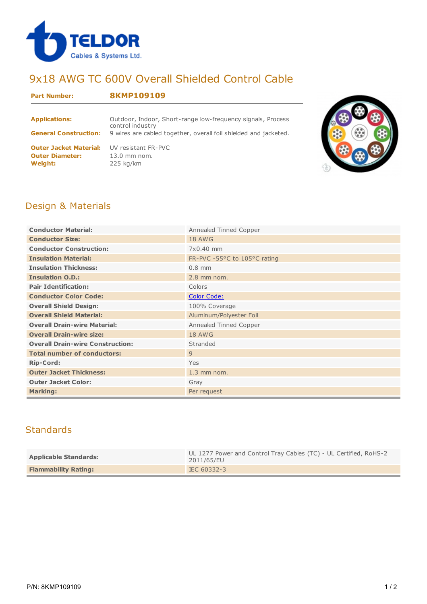

# 9x18 AWG TC 600V Overall Shielded Control Cable

#### **Part Number: 8KMP109109**

| <b>Applications:</b>                                                      | Outdoor, Indoor, Short-range low-frequency signals, Process<br>control industry |
|---------------------------------------------------------------------------|---------------------------------------------------------------------------------|
| <b>General Construction:</b>                                              | 9 wires are cabled together, overall foil shielded and jacketed.                |
| <b>Outer Jacket Material:</b><br><b>Outer Diameter:</b><br><b>Weight:</b> | UV resistant FR-PVC<br>$13.0$ mm nom.<br>$225$ kg/km                            |



### Design & Materials

| <b>Conductor Material:</b>              | Annealed Tinned Copper       |  |  |  |  |
|-----------------------------------------|------------------------------|--|--|--|--|
| <b>Conductor Size:</b>                  | <b>18 AWG</b>                |  |  |  |  |
| <b>Conductor Construction:</b>          | 7x0.40 mm                    |  |  |  |  |
| <b>Insulation Material:</b>             | FR-PVC -55°C to 105°C rating |  |  |  |  |
| <b>Insulation Thickness:</b>            | $0.8$ mm                     |  |  |  |  |
| <b>Insulation O.D.:</b>                 | $2.8$ mm nom.                |  |  |  |  |
| <b>Pair Identification:</b>             | Colors                       |  |  |  |  |
| <b>Conductor Color Code:</b>            | <b>Color Code:</b>           |  |  |  |  |
| <b>Overall Shield Design:</b>           | 100% Coverage                |  |  |  |  |
| <b>Overall Shield Material:</b>         | Aluminum/Polyester Foil      |  |  |  |  |
| <b>Overall Drain-wire Material:</b>     | Annealed Tinned Copper       |  |  |  |  |
| <b>Overall Drain-wire size:</b>         | <b>18 AWG</b>                |  |  |  |  |
| <b>Overall Drain-wire Construction:</b> | Stranded                     |  |  |  |  |
| <b>Total number of conductors:</b>      | 9                            |  |  |  |  |
| <b>Rip-Cord:</b>                        | Yes                          |  |  |  |  |
| <b>Outer Jacket Thickness:</b>          | $1.3$ mm nom.                |  |  |  |  |
| <b>Outer Jacket Color:</b>              | Gray                         |  |  |  |  |
| <b>Marking:</b>                         | Per request                  |  |  |  |  |

## **Standards**

| <b>Applicable Standards:</b> | UL 1277 Power and Control Tray Cables (TC) - UL Certified, RoHS-2<br>2011/65/EU |
|------------------------------|---------------------------------------------------------------------------------|
| <b>Flammability Rating:</b>  | IEC 60332-3                                                                     |